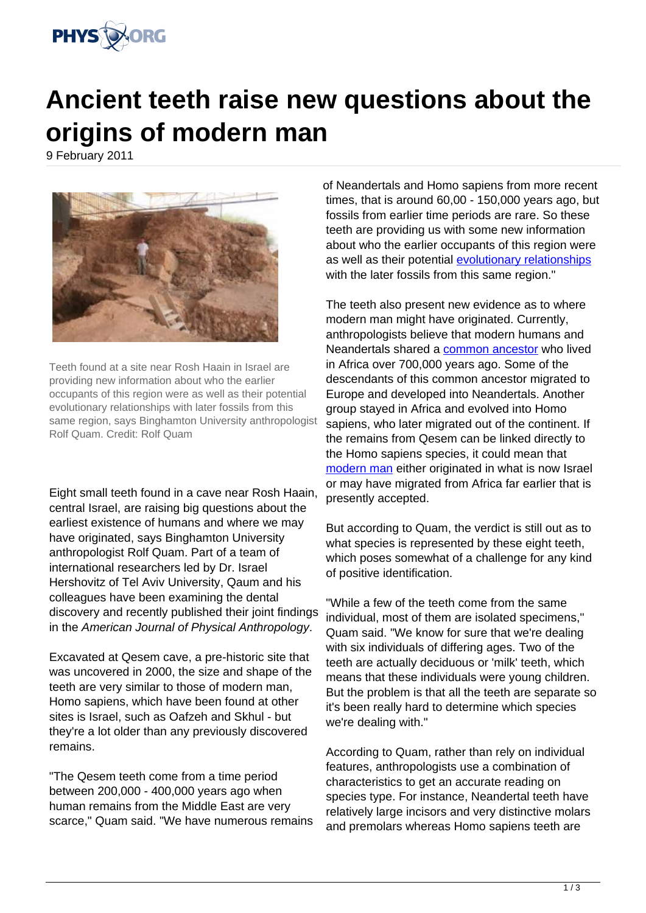

## **Ancient teeth raise new questions about the origins of modern man**

9 February 2011



Teeth found at a site near Rosh Haain in Israel are providing new information about who the earlier occupants of this region were as well as their potential evolutionary relationships with later fossils from this same region, says Binghamton University anthropologist Rolf Quam. Credit: Rolf Quam

Eight small teeth found in a cave near Rosh Haain, central Israel, are raising big questions about the earliest existence of humans and where we may have originated, says Binghamton University anthropologist Rolf Quam. Part of a team of international researchers led by Dr. Israel Hershovitz of Tel Aviv University, Qaum and his colleagues have been examining the dental discovery and recently published their joint findings in the American Journal of Physical Anthropology.

Excavated at Qesem cave, a pre-historic site that was uncovered in 2000, the size and shape of the teeth are very similar to those of modern man, Homo sapiens, which have been found at other sites is Israel, such as Oafzeh and Skhul - but they're a lot older than any previously discovered remains.

"The Qesem teeth come from a time period between 200,000 - 400,000 years ago when human remains from the Middle East are very scarce," Quam said. "We have numerous remains of Neandertals and Homo sapiens from more recent times, that is around 60,00 - 150,000 years ago, but fossils from earlier time periods are rare. So these teeth are providing us with some new information about who the earlier occupants of this region were as well as their potential [evolutionary relationships](https://phys.org/tags/evolutionary+relationships/) with the later fossils from this same region."

The teeth also present new evidence as to where modern man might have originated. Currently, anthropologists believe that modern humans and Neandertals shared a [common ancestor](https://phys.org/tags/common+ancestor/) who lived in Africa over 700,000 years ago. Some of the descendants of this common ancestor migrated to Europe and developed into Neandertals. Another group stayed in Africa and evolved into Homo sapiens, who later migrated out of the continent. If the remains from Qesem can be linked directly to the Homo sapiens species, it could mean that [modern man](https://phys.org/tags/modern+man/) either originated in what is now Israel or may have migrated from Africa far earlier that is presently accepted.

But according to Quam, the verdict is still out as to what species is represented by these eight teeth, which poses somewhat of a challenge for any kind of positive identification.

"While a few of the teeth come from the same individual, most of them are isolated specimens," Quam said. "We know for sure that we're dealing with six individuals of differing ages. Two of the teeth are actually deciduous or 'milk' teeth, which means that these individuals were young children. But the problem is that all the teeth are separate so it's been really hard to determine which species we're dealing with."

According to Quam, rather than rely on individual features, anthropologists use a combination of characteristics to get an accurate reading on species type. For instance, Neandertal teeth have relatively large incisors and very distinctive molars and premolars whereas Homo sapiens teeth are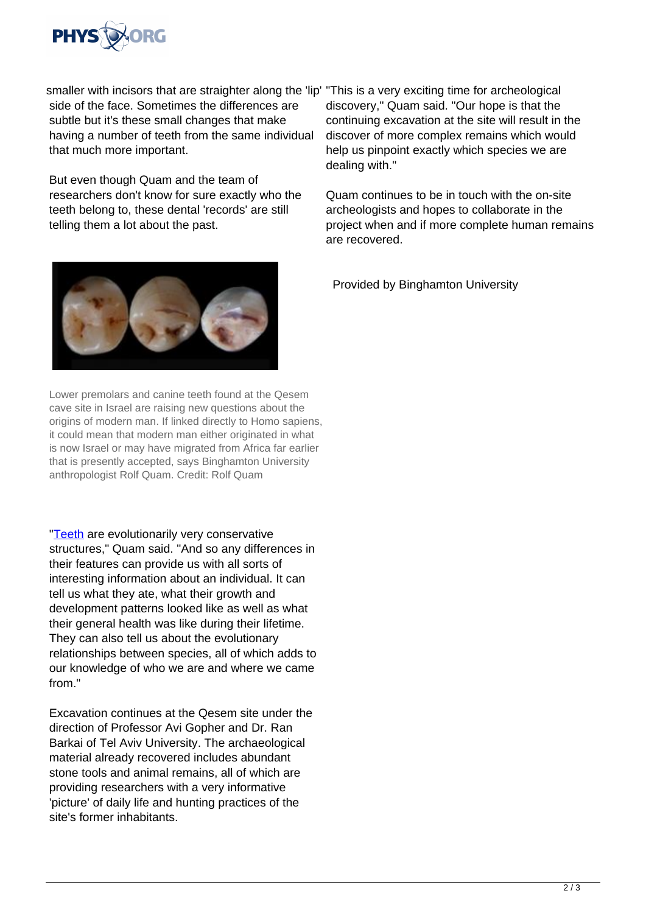

smaller with incisors that are straighter along the 'lip' "This is a very exciting time for archeological side of the face. Sometimes the differences are subtle but it's these small changes that make having a number of teeth from the same individual that much more important.

But even though Quam and the team of researchers don't know for sure exactly who the teeth belong to, these dental 'records' are still telling them a lot about the past.



Lower premolars and canine teeth found at the Qesem cave site in Israel are raising new questions about the origins of modern man. If linked directly to Homo sapiens, it could mean that modern man either originated in what is now Israel or may have migrated from Africa far earlier that is presently accepted, says Binghamton University anthropologist Rolf Quam. Credit: Rolf Quam

["Teeth](https://phys.org/tags/teeth/) are evolutionarily very conservative structures," Quam said. "And so any differences in their features can provide us with all sorts of interesting information about an individual. It can tell us what they ate, what their growth and development patterns looked like as well as what their general health was like during their lifetime. They can also tell us about the evolutionary relationships between species, all of which adds to our knowledge of who we are and where we came from "

Excavation continues at the Qesem site under the direction of Professor Avi Gopher and Dr. Ran Barkai of Tel Aviv University. The archaeological material already recovered includes abundant stone tools and animal remains, all of which are providing researchers with a very informative 'picture' of daily life and hunting practices of the site's former inhabitants.

discovery," Quam said. "Our hope is that the continuing excavation at the site will result in the discover of more complex remains which would help us pinpoint exactly which species we are dealing with."

Quam continues to be in touch with the on-site archeologists and hopes to collaborate in the project when and if more complete human remains are recovered.

Provided by Binghamton University